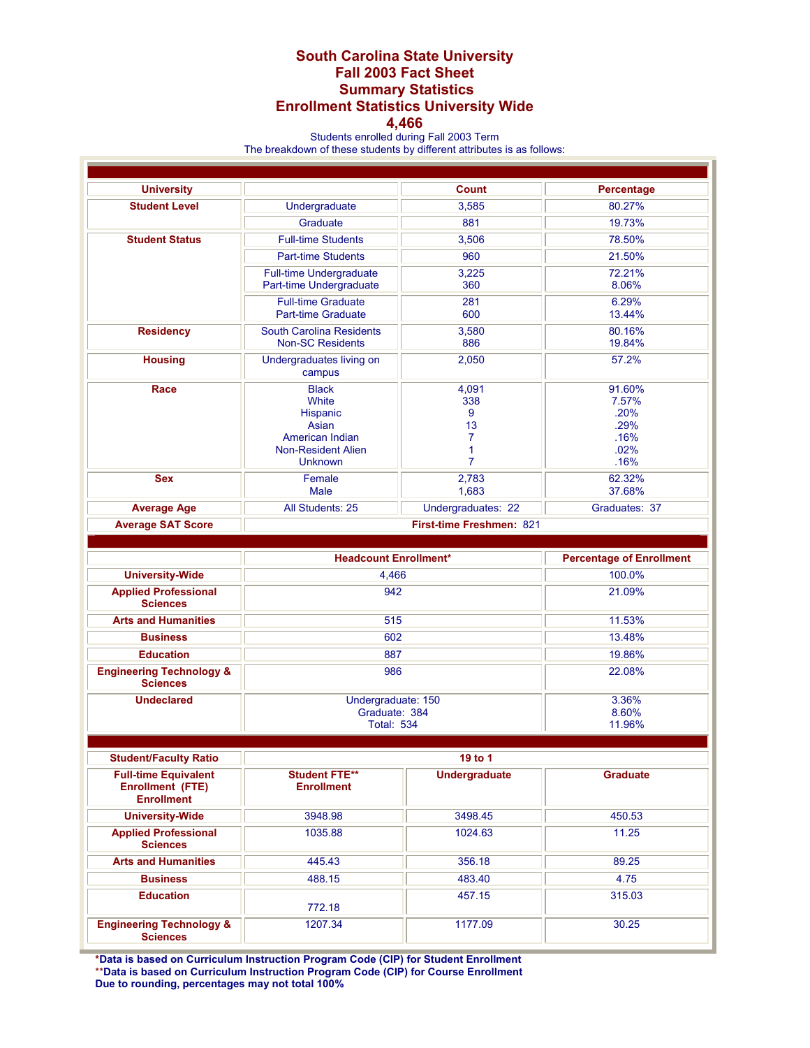## **South Carolina State University Fall 2003 Fact Sheet Summary Statistics Enrollment Statistics University Wide**

## **4,466**

Students enrolled during Fall 2003 Term The breakdown of these students by different attributes is as follows:

| <b>University</b>                                                           | <b>Count</b>                                               |                      | Percentage                      |
|-----------------------------------------------------------------------------|------------------------------------------------------------|----------------------|---------------------------------|
| <b>Student Level</b>                                                        | Undergraduate                                              | 3,585                | 80.27%                          |
|                                                                             | Graduate                                                   | 881                  | 19.73%                          |
| <b>Student Status</b>                                                       | <b>Full-time Students</b>                                  | 3,506                | 78.50%                          |
|                                                                             | <b>Part-time Students</b>                                  | 960                  | 21.50%                          |
|                                                                             | <b>Full-time Undergraduate</b>                             | 3,225                | 72.21%                          |
|                                                                             | Part-time Undergraduate                                    | 360                  | 8.06%                           |
|                                                                             | <b>Full-time Graduate</b>                                  | 281                  | 6.29%                           |
|                                                                             | <b>Part-time Graduate</b>                                  | 600                  | 13.44%                          |
| <b>Residency</b>                                                            | <b>South Carolina Residents</b><br><b>Non-SC Residents</b> | 3,580<br>886         | 80.16%<br>19.84%                |
| <b>Housing</b>                                                              | Undergraduates living on<br>campus                         | 2,050                | 57.2%                           |
| Race                                                                        | <b>Black</b>                                               | 4,091                | 91.60%                          |
|                                                                             | White                                                      | 338                  | 7.57%                           |
|                                                                             | Hispanic<br>Asian                                          | 9<br>13              | .20%<br>.29%                    |
|                                                                             | American Indian                                            | 7                    | .16%                            |
|                                                                             | <b>Non-Resident Alien</b>                                  | 1                    | .02%                            |
|                                                                             | <b>Unknown</b>                                             | $\overline{7}$       | .16%                            |
| <b>Sex</b>                                                                  | Female<br>Male                                             | 2,783<br>1,683       | 62.32%<br>37.68%                |
| <b>Average Age</b>                                                          | All Students: 25                                           | Undergraduates: 22   | Graduates: 37                   |
| <b>Average SAT Score</b>                                                    | First-time Freshmen: 821                                   |                      |                                 |
|                                                                             |                                                            |                      |                                 |
|                                                                             | <b>Headcount Enrollment*</b>                               |                      | <b>Percentage of Enrollment</b> |
| <b>University-Wide</b>                                                      | 4,466                                                      |                      | 100.0%                          |
| <b>Applied Professional</b><br><b>Sciences</b>                              | 942                                                        |                      | 21.09%                          |
| <b>Arts and Humanities</b>                                                  | 515                                                        |                      | 11.53%                          |
| <b>Business</b>                                                             | 602                                                        |                      | 13.48%                          |
| <b>Education</b>                                                            | 887                                                        |                      | 19.86%                          |
| <b>Engineering Technology &amp;</b>                                         | 986                                                        |                      | 22.08%                          |
| <b>Sciences</b>                                                             |                                                            |                      |                                 |
| <b>Undeclared</b>                                                           | Undergraduate: 150                                         |                      | 3.36%                           |
|                                                                             | Graduate: 384<br><b>Total: 534</b>                         |                      | 8.60%<br>11.96%                 |
|                                                                             |                                                            |                      |                                 |
| <b>Student/Faculty Ratio</b>                                                | 19 to 1                                                    |                      |                                 |
|                                                                             |                                                            |                      |                                 |
| <b>Full-time Equivalent</b><br><b>Enrollment (FTE)</b><br><b>Enrollment</b> | <b>Student FTE**</b><br><b>Enrollment</b>                  | <b>Undergraduate</b> | <b>Graduate</b>                 |
| <b>University-Wide</b>                                                      | 3948.98                                                    | 3498.45              | 450.53                          |
| <b>Applied Professional</b><br><b>Sciences</b>                              | 1035.88                                                    | 1024.63              | 11.25                           |
| <b>Arts and Humanities</b>                                                  | 445.43                                                     | 356.18               | 89.25                           |
| <b>Business</b>                                                             | 488.15                                                     | 483.40               | 4.75                            |
| <b>Education</b>                                                            |                                                            | 457.15               | 315.03                          |
|                                                                             | 772.18                                                     |                      |                                 |
| <b>Engineering Technology &amp;</b><br><b>Sciences</b>                      | 1207.34                                                    | 1177.09              | 30.25                           |

**\*Data is based on Curriculum Instruction Program Code (CIP) for Student Enrollment**  \*\***Data is based on Curriculum Instruction Program Code (CIP) for Course Enrollment Due to rounding, percentages may not total 100%**